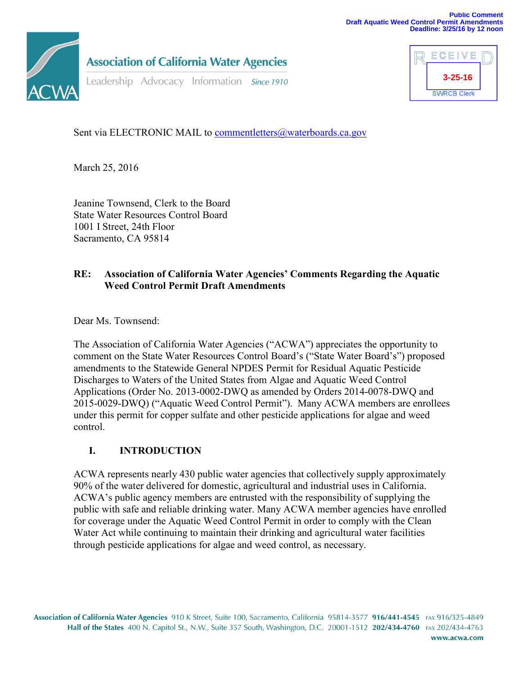

**Association of California Water Agencies** 

Leadership Advocacy Information Since 1910



Sent via ELECTRONIC MAIL to [commentletters@waterboards.ca.gov](mailto:commentletters@waterboards.ca.gov)

March 25, 2016

Jeanine Townsend, Clerk to the Board State Water Resources Control Board 1001 I Street, 24th Floor Sacramento, CA 95814

## **RE: Association of California Water Agencies' Comments Regarding the Aquatic Weed Control Permit Draft Amendments**

Dear Ms. Townsend:

The Association of California Water Agencies ("ACWA") appreciates the opportunity to comment on the State Water Resources Control Board's ("State Water Board's") proposed amendments to the Statewide General NPDES Permit for Residual Aquatic Pesticide Discharges to Waters of the United States from Algae and Aquatic Weed Control Applications (Order No. 2013-0002-DWQ as amended by Orders 2014-0078-DWQ and 2015-0029-DWQ) ("Aquatic Weed Control Permit"). Many ACWA members are enrollees under this permit for copper sulfate and other pesticide applications for algae and weed control.

## **I. INTRODUCTION**

ACWA represents nearly 430 public water agencies that collectively supply approximately 90% of the water delivered for domestic, agricultural and industrial uses in California. ACWA's public agency members are entrusted with the responsibility of supplying the public with safe and reliable drinking water. Many ACWA member agencies have enrolled for coverage under the Aquatic Weed Control Permit in order to comply with the Clean Water Act while continuing to maintain their drinking and agricultural water facilities through pesticide applications for algae and weed control, as necessary.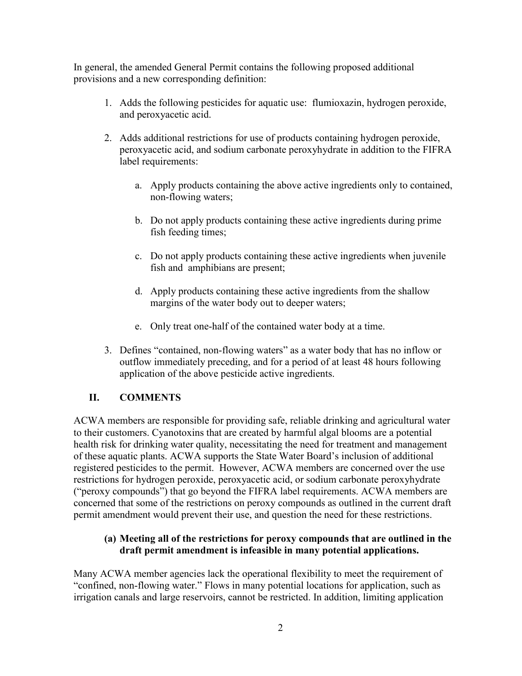In general, the amended General Permit contains the following proposed additional provisions and a new corresponding definition:

- 1. Adds the following pesticides for aquatic use: flumioxazin, hydrogen peroxide, and peroxyacetic acid.
- 2. Adds additional restrictions for use of products containing hydrogen peroxide, peroxyacetic acid, and sodium carbonate peroxyhydrate in addition to the FIFRA label requirements:
	- a. Apply products containing the above active ingredients only to contained, non-flowing waters;
	- b. Do not apply products containing these active ingredients during prime fish feeding times;
	- c. Do not apply products containing these active ingredients when juvenile fish and amphibians are present;
	- d. Apply products containing these active ingredients from the shallow margins of the water body out to deeper waters;
	- e. Only treat one-half of the contained water body at a time.
- 3. Defines "contained, non-flowing waters" as a water body that has no inflow or outflow immediately preceding, and for a period of at least 48 hours following application of the above pesticide active ingredients.

## **II. COMMENTS**

ACWA members are responsible for providing safe, reliable drinking and agricultural water to their customers. Cyanotoxins that are created by harmful algal blooms are a potential health risk for drinking water quality, necessitating the need for treatment and management of these aquatic plants. ACWA supports the State Water Board's inclusion of additional registered pesticides to the permit. However, ACWA members are concerned over the use restrictions for hydrogen peroxide, peroxyacetic acid, or sodium carbonate peroxyhydrate ("peroxy compounds") that go beyond the FIFRA label requirements. ACWA members are concerned that some of the restrictions on peroxy compounds as outlined in the current draft permit amendment would prevent their use, and question the need for these restrictions.

#### **(a) Meeting all of the restrictions for peroxy compounds that are outlined in the draft permit amendment is infeasible in many potential applications.**

Many ACWA member agencies lack the operational flexibility to meet the requirement of "confined, non-flowing water." Flows in many potential locations for application, such as irrigation canals and large reservoirs, cannot be restricted. In addition, limiting application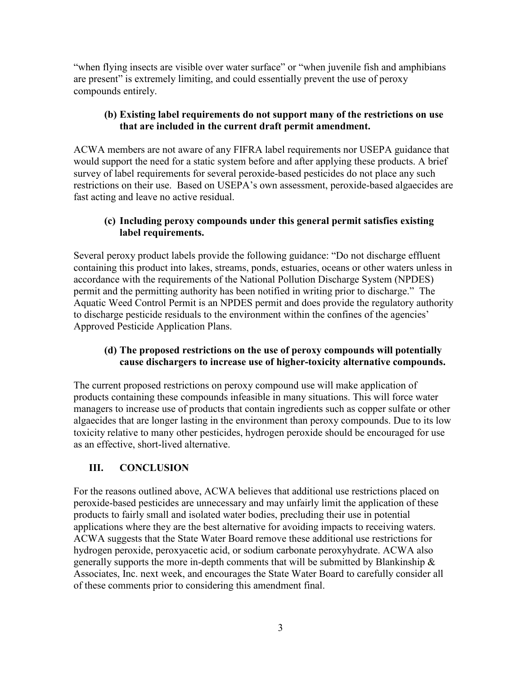"when flying insects are visible over water surface" or "when juvenile fish and amphibians are present" is extremely limiting, and could essentially prevent the use of peroxy compounds entirely.

## **(b) Existing label requirements do not support many of the restrictions on use that are included in the current draft permit amendment.**

ACWA members are not aware of any FIFRA label requirements nor USEPA guidance that would support the need for a static system before and after applying these products. A brief survey of label requirements for several peroxide-based pesticides do not place any such restrictions on their use. Based on USEPA's own assessment, peroxide-based algaecides are fast acting and leave no active residual.

#### **(c) Including peroxy compounds under this general permit satisfies existing label requirements.**

Several peroxy product labels provide the following guidance: "Do not discharge effluent containing this product into lakes, streams, ponds, estuaries, oceans or other waters unless in accordance with the requirements of the National Pollution Discharge System (NPDES) permit and the permitting authority has been notified in writing prior to discharge." The Aquatic Weed Control Permit is an NPDES permit and does provide the regulatory authority to discharge pesticide residuals to the environment within the confines of the agencies' Approved Pesticide Application Plans.

#### **(d) The proposed restrictions on the use of peroxy compounds will potentially cause dischargers to increase use of higher-toxicity alternative compounds.**

The current proposed restrictions on peroxy compound use will make application of products containing these compounds infeasible in many situations. This will force water managers to increase use of products that contain ingredients such as copper sulfate or other algaecides that are longer lasting in the environment than peroxy compounds. Due to its low toxicity relative to many other pesticides, hydrogen peroxide should be encouraged for use as an effective, short-lived alternative.

# **III. CONCLUSION**

For the reasons outlined above, ACWA believes that additional use restrictions placed on peroxide-based pesticides are unnecessary and may unfairly limit the application of these products to fairly small and isolated water bodies, precluding their use in potential applications where they are the best alternative for avoiding impacts to receiving waters. ACWA suggests that the State Water Board remove these additional use restrictions for hydrogen peroxide, peroxyacetic acid, or sodium carbonate peroxyhydrate. ACWA also generally supports the more in-depth comments that will be submitted by Blankinship  $\&$ Associates, Inc. next week, and encourages the State Water Board to carefully consider all of these comments prior to considering this amendment final.